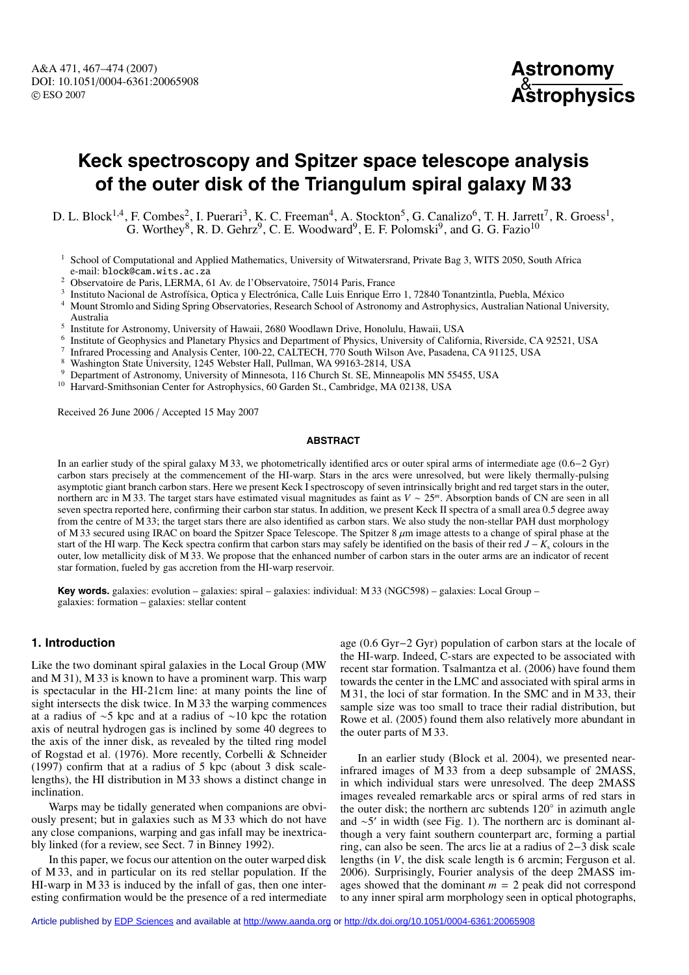

# **Keck spectroscopy and Spitzer space telescope analysis of the outer disk of the Triangulum spiral galaxy M 33**

D. L. Block<sup>1,4</sup>, F. Combes<sup>2</sup>, I. Puerari<sup>3</sup>, K. C. Freeman<sup>4</sup>, A. Stockton<sup>5</sup>, G. Canalizo<sup>6</sup>, T. H. Jarrett<sup>7</sup>, R. Groess<sup>1</sup>, G. Worthey<sup>8</sup>, R. D. Gehrz<sup>9</sup>, C. E. Woodward<sup>9</sup>, E. F. Polomski<sup>9</sup>, and G. G. Fazio<sup>10</sup>

- $1$  School of Computational and Applied Mathematics, University of Witwatersrand, Private Bag 3, WITS 2050, South Africa e-mail: block@cam.wits.ac.za
- <sup>2</sup> Observatoire de Paris, LERMA, 61 Av. de l'Observatoire, 75014 Paris, France
- <sup>3</sup> Instituto Nacional de Astrofísica, Optica y Electrónica, Calle Luis Enrique Erro 1, 72840 Tonantzintla, Puebla, México
- <sup>4</sup> Mount Stromlo and Siding Spring Observatories, Research School of Astronomy and Astrophysics, Australian National University, Australia
- <sup>5</sup> Institute for Astronomy, University of Hawaii, 2680 Woodlawn Drive, Honolulu, Hawaii, USA
- <sup>6</sup> Institute of Geophysics and Planetary Physics and Department of Physics, University of California, Riverside, CA 92521, USA
- <sup>7</sup> Infrared Processing and Analysis Center, 100-22, CALTECH, 770 South Wilson Ave, Pasadena, CA 91125, USA
- <sup>8</sup> Washington State University, 1245 Webster Hall, Pullman, WA 99163-2814, USA
- <sup>9</sup> Department of Astronomy, University of Minnesota, 116 Church St. SE, Minneapolis MN 55455, USA<br><sup>10</sup> Harvard-Smithsonian Center for Astronousies 60 Garden St. Cambridge, MA 02138, USA
- Harvard-Smithsonian Center for Astrophysics, 60 Garden St., Cambridge, MA 02138, USA

Received 26 June 2006 / Accepted 15 May 2007

#### **ABSTRACT**

In an earlier study of the spiral galaxy M 33, we photometrically identified arcs or outer spiral arms of intermediate age (0.6−2 Gyr) carbon stars precisely at the commencement of the HI-warp. Stars in the arcs were unresolved, but were likely thermally-pulsing asymptotic giant branch carbon stars. Here we present Keck I spectroscopy of seven intrinsically bright and red target stars in the outer, northern arc in M 33. The target stars have estimated visual magnitudes as faint as *V* ∼ 25*<sup>m</sup>*. Absorption bands of CN are seen in all seven spectra reported here, confirming their carbon star status. In addition, we present Keck II spectra of a small area 0.5 degree away from the centre of M 33; the target stars there are also identified as carbon stars. We also study the non-stellar PAH dust morphology of M 33 secured using IRAC on board the Spitzer Space Telescope. The Spitzer 8  $\mu$ m image attests to a change of spiral phase at the start of the HI warp. The Keck spectra confirm that carbon stars may safely be identified on the basis of their red *J* − *K*<sup>s</sup> colours in the outer, low metallicity disk of M 33. We propose that the enhanced number of carbon stars in the outer arms are an indicator of recent star formation, fueled by gas accretion from the HI-warp reservoir.

**Key words.** galaxies: evolution – galaxies: spiral – galaxies: individual: M 33 (NGC598) – galaxies: Local Group – galaxies: formation – galaxies: stellar content

## **1. Introduction**

Like the two dominant spiral galaxies in the Local Group (MW and M 31), M 33 is known to have a prominent warp. This warp is spectacular in the HI-21cm line: at many points the line of sight intersects the disk twice. In M 33 the warping commences at a radius of ∼5 kpc and at a radius of ∼10 kpc the rotation axis of neutral hydrogen gas is inclined by some 40 degrees to the axis of the inner disk, as revealed by the tilted ring model of Rogstad et al. (1976). More recently, Corbelli & Schneider (1997) confirm that at a radius of 5 kpc (about 3 disk scalelengths), the HI distribution in M 33 shows a distinct change in inclination.

Warps may be tidally generated when companions are obviously present; but in galaxies such as M 33 which do not have any close companions, warping and gas infall may be inextricably linked (for a review, see Sect. 7 in Binney 1992).

In this paper, we focus our attention on the outer warped disk of M 33, and in particular on its red stellar population. If the HI-warp in M 33 is induced by the infall of gas, then one interesting confirmation would be the presence of a red intermediate age (0.6 Gyr−2 Gyr) population of carbon stars at the locale of the HI-warp. Indeed, C-stars are expected to be associated with recent star formation. Tsalmantza et al. (2006) have found them towards the center in the LMC and associated with spiral arms in M 31, the loci of star formation. In the SMC and in M 33, their sample size was too small to trace their radial distribution, but Rowe et al. (2005) found them also relatively more abundant in the outer parts of M 33.

In an earlier study (Block et al. 2004), we presented nearinfrared images of M 33 from a deep subsample of 2MASS, in which individual stars were unresolved. The deep 2MASS images revealed remarkable arcs or spiral arms of red stars in the outer disk; the northern arc subtends  $120°$  in azimuth angle and  $\sim$ 5' in width (see Fig. 1). The northern arc is dominant although a very faint southern counterpart arc, forming a partial ring, can also be seen. The arcs lie at a radius of 2−3 disk scale lengths (in *V*, the disk scale length is 6 arcmin; Ferguson et al. 2006). Surprisingly, Fourier analysis of the deep 2MASS images showed that the dominant  $m = 2$  peak did not correspond to any inner spiral arm morphology seen in optical photographs,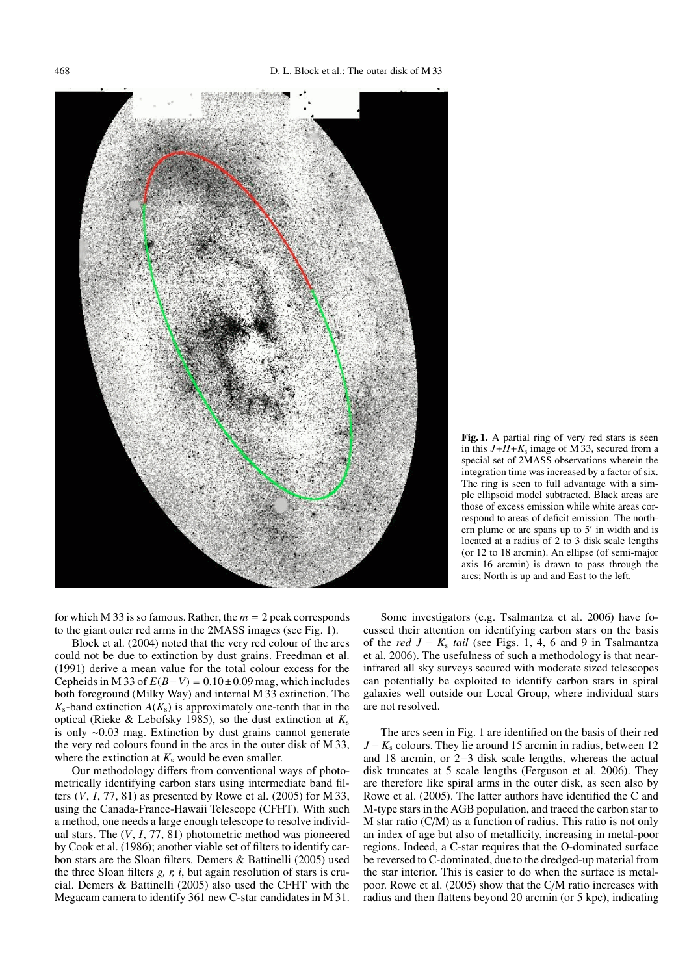

**Fig. 1.** A partial ring of very red stars is seen in this  $J + H + K_s$  image of M 33, secured from a special set of 2MASS observations wherein the integration time was increased by a factor of six. The ring is seen to full advantage with a simple ellipsoid model subtracted. Black areas are those of excess emission while white areas correspond to areas of deficit emission. The northern plume or arc spans up to  $5'$  in width and is located at a radius of 2 to 3 disk scale lengths (or 12 to 18 arcmin). An ellipse (of semi-major axis 16 arcmin) is drawn to pass through the arcs; North is up and and East to the left.

for which M 33 is so famous. Rather, the  $m = 2$  peak corresponds to the giant outer red arms in the 2MASS images (see Fig. 1).

Block et al. (2004) noted that the very red colour of the arcs could not be due to extinction by dust grains. Freedman et al. (1991) derive a mean value for the total colour excess for the Cepheids in M 33 of  $E(B-V) = 0.10 \pm 0.09$  mag, which includes both foreground (Milky Way) and internal M 33 extinction. The  $K_s$ -band extinction  $A(K_s)$  is approximately one-tenth that in the optical (Rieke & Lebofsky 1985), so the dust extinction at  $K_s$ is only ∼0.03 mag. Extinction by dust grains cannot generate the very red colours found in the arcs in the outer disk of M 33, where the extinction at  $K_s$  would be even smaller.

Our methodology differs from conventional ways of photometrically identifying carbon stars using intermediate band filters  $(V, I, 77, 81)$  as presented by Rowe et al.  $(2005)$  for M 33, using the Canada-France-Hawaii Telescope (CFHT). With such a method, one needs a large enough telescope to resolve individual stars. The (*V*, *I*, 77, 81) photometric method was pioneered by Cook et al. (1986); another viable set of filters to identify carbon stars are the Sloan filters. Demers & Battinelli (2005) used the three Sloan filters *g, r, i*, but again resolution of stars is crucial. Demers & Battinelli (2005) also used the CFHT with the Megacam camera to identify 361 new C-star candidates in M 31.

Some investigators (e.g. Tsalmantza et al. 2006) have focussed their attention on identifying carbon stars on the basis of the *red J* − *K*<sup>s</sup> *tail* (see Figs. 1, 4, 6 and 9 in Tsalmantza et al. 2006). The usefulness of such a methodology is that nearinfrared all sky surveys secured with moderate sized telescopes can potentially be exploited to identify carbon stars in spiral galaxies well outside our Local Group, where individual stars are not resolved.

The arcs seen in Fig. 1 are identified on the basis of their red *J* − *K*<sub>s</sub> colours. They lie around 15 arcmin in radius, between 12 and 18 arcmin, or 2−3 disk scale lengths, whereas the actual disk truncates at 5 scale lengths (Ferguson et al. 2006). They are therefore like spiral arms in the outer disk, as seen also by Rowe et al. (2005). The latter authors have identified the C and M-type stars in the AGB population, and traced the carbon star to M star ratio (C/M) as a function of radius. This ratio is not only an index of age but also of metallicity, increasing in metal-poor regions. Indeed, a C-star requires that the O-dominated surface be reversed to C-dominated, due to the dredged-up material from the star interior. This is easier to do when the surface is metalpoor. Rowe et al. (2005) show that the C/M ratio increases with radius and then flattens beyond 20 arcmin (or 5 kpc), indicating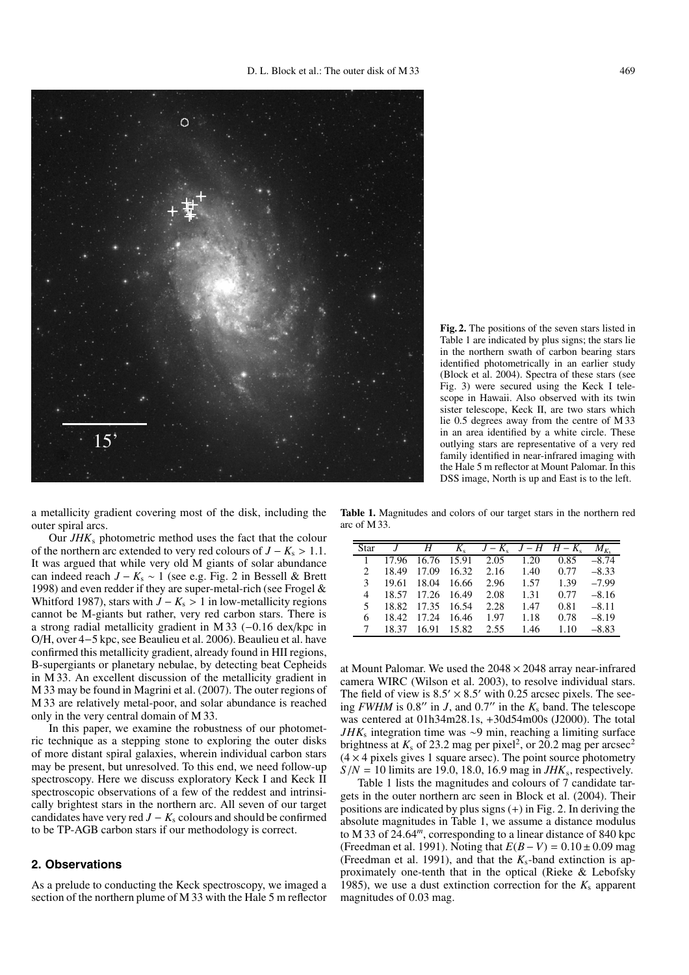

**Fig. 2.** The positions of the seven stars listed in Table 1 are indicated by plus signs; the stars lie in the northern swath of carbon bearing stars identified photometrically in an earlier study (Block et al. 2004). Spectra of these stars (see Fig. 3) were secured using the Keck I telescope in Hawaii. Also observed with its twin sister telescope, Keck II, are two stars which lie 0.5 degrees away from the centre of M 33 in an area identified by a white circle. These outlying stars are representative of a very red family identified in near-infrared imaging with the Hale 5 m reflector at Mount Palomar. In this DSS image, North is up and East is to the left.

a metallicity gradient covering most of the disk, including the outer spiral arcs.

Our *JHK*<sup>s</sup> photometric method uses the fact that the colour of the northern arc extended to very red colours of  $J - K_s > 1.1$ . It was argued that while very old M giants of solar abundance can indeed reach *J* − *K*<sup>s</sup> ∼ 1 (see e.g. Fig. 2 in Bessell & Brett 1998) and even redder if they are super-metal-rich (see Frogel & Whitford 1987), stars with  $J - K_s > 1$  in low-metallicity regions cannot be M-giants but rather, very red carbon stars. There is a strong radial metallicity gradient in M 33 (−0.16 dex/kpc in O/H, over 4−5 kpc, see Beaulieu et al. 2006). Beaulieu et al. have confirmed this metallicity gradient, already found in HII regions, B-supergiants or planetary nebulae, by detecting beat Cepheids in M 33. An excellent discussion of the metallicity gradient in M 33 may be found in Magrini et al. (2007). The outer regions of M 33 are relatively metal-poor, and solar abundance is reached only in the very central domain of M 33.

In this paper, we examine the robustness of our photometric technique as a stepping stone to exploring the outer disks of more distant spiral galaxies, wherein individual carbon stars may be present, but unresolved. To this end, we need follow-up spectroscopy. Here we discuss exploratory Keck I and Keck II spectroscopic observations of a few of the reddest and intrinsically brightest stars in the northern arc. All seven of our target candidates have very red  $J - K_s$  colours and should be confirmed to be TP-AGB carbon stars if our methodology is correct.

### **2. Observations**

As a prelude to conducting the Keck spectroscopy, we imaged a section of the northern plume of M 33 with the Hale 5 m reflector

**Table 1.** Magnitudes and colors of our target stars in the northern red arc of M 33.

| <b>Star</b>                 |       | H     |             | $K_s$ $J-K_s$ $J-H$ $H-K_s$ |      |      | $M_{K_{-}}$ |
|-----------------------------|-------|-------|-------------|-----------------------------|------|------|-------------|
|                             | 17.96 |       | 16.76 15.91 | 2.05                        | 1.20 | 0.85 | $-8.74$     |
| $\mathcal{D}_{\mathcal{A}}$ | 18.49 | 17.09 | 16.32       | 2.16                        | 1.40 | 0.77 | $-8.33$     |
| 3                           | 19.61 | 18.04 | 16.66       | 2.96                        | 1.57 | 1.39 | $-7.99$     |
| 4                           | 18.57 | 17.26 | 16.49       | 2.08                        | 1.31 | 0.77 | $-8.16$     |
| 5                           | 18.82 | 17.35 | 16.54       | 2.28                        | 1.47 | 0.81 | $-8.11$     |
| 6                           | 18.42 | 17.24 | 16.46       | 1.97                        | 1.18 | 0.78 | $-8.19$     |
|                             | 18.37 | 16.91 | 15.82       | 2.55                        | 1.46 | 1.10 | $-8.83$     |

at Mount Palomar. We used the  $2048 \times 2048$  array near-infrared camera WIRC (Wilson et al. 2003), to resolve individual stars. The field of view is  $8.5' \times 8.5'$  with 0.25 arcsec pixels. The seeing *FWHM* is 0.8" in *J*, and 0.7" in the  $K_s$  band. The telescope was centered at 01h34m28.1s, +30d54m00s (J2000). The total *JHK*<sub>s</sub> integration time was ∼9 min, reaching a limiting surface brightness at  $K_s$  of 23.2 mag per pixel<sup>2</sup>, or 20.2 mag per arcsec<sup>2</sup>  $(4 \times 4$  pixels gives 1 square arsec). The point source photometry  $S/N = 10$  limits are 19.0, 18.0, 16.9 mag in *JHK*<sub>s</sub>, respectively.

Table 1 lists the magnitudes and colours of 7 candidate targets in the outer northern arc seen in Block et al. (2004). Their positions are indicated by plus signs (+) in Fig. 2. In deriving the absolute magnitudes in Table 1, we assume a distance modulus to M 33 of 24.64*<sup>m</sup>*, corresponding to a linear distance of 840 kpc (Freedman et al. 1991). Noting that *E*(*B*− *V*) = 0.10± 0.09 mag (Freedman et al. 1991), and that the *K*s-band extinction is approximately one-tenth that in the optical (Rieke & Lebofsky 1985), we use a dust extinction correction for the  $K_s$  apparent magnitudes of 0.03 mag.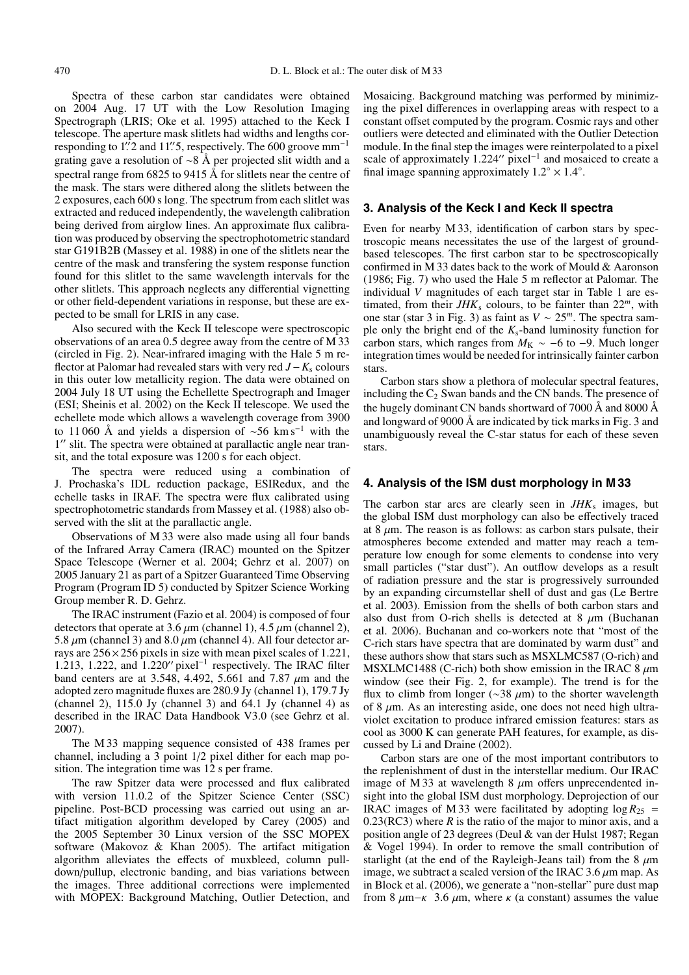Spectra of these carbon star candidates were obtained on 2004 Aug. 17 UT with the Low Resolution Imaging Spectrograph (LRIS; Oke et al. 1995) attached to the Keck I telescope. The aperture mask slitlets had widths and lengths corresponding to 1. 2 and 11. 5, respectively. The 600 groove  $mm^{-1}$ grating gave a resolution of ∼8 Å per projected slit width and a spectral range from 6825 to 9415 Å for slitlets near the centre of the mask. The stars were dithered along the slitlets between the 2 exposures, each 600 s long. The spectrum from each slitlet was extracted and reduced independently, the wavelength calibration being derived from airglow lines. An approximate flux calibration was produced by observing the spectrophotometric standard star G191B2B (Massey et al. 1988) in one of the slitlets near the centre of the mask and transfering the system response function found for this slitlet to the same wavelength intervals for the other slitlets. This approach neglects any differential vignetting or other field-dependent variations in response, but these are expected to be small for LRIS in any case.

Also secured with the Keck II telescope were spectroscopic observations of an area 0.5 degree away from the centre of M 33 (circled in Fig. 2). Near-infrared imaging with the Hale 5 m reflector at Palomar had revealed stars with very red *J*−*K*<sup>s</sup> colours in this outer low metallicity region. The data were obtained on 2004 July 18 UT using the Echellette Spectrograph and Imager (ESI; Sheinis et al. 2002) on the Keck II telescope. We used the echellete mode which allows a wavelength coverage from 3900 to 11 060 Å and yields a dispersion of <sup>∼</sup>56 km s−<sup>1</sup> with the 1" slit. The spectra were obtained at parallactic angle near transit, and the total exposure was 1200 s for each object.

The spectra were reduced using a combination of J. Prochaska's IDL reduction package, ESIRedux, and the echelle tasks in IRAF. The spectra were flux calibrated using spectrophotometric standards from Massey et al. (1988) also observed with the slit at the parallactic angle.

Observations of M 33 were also made using all four bands of the Infrared Array Camera (IRAC) mounted on the Spitzer Space Telescope (Werner et al. 2004; Gehrz et al. 2007) on 2005 January 21 as part of a Spitzer Guaranteed Time Observing Program (Program ID 5) conducted by Spitzer Science Working Group member R. D. Gehrz.

The IRAC instrument (Fazio et al. 2004) is composed of four detectors that operate at 3.6  $\mu$ m (channel 1), 4.5  $\mu$ m (channel 2), 5.8  $\mu$ m (channel 3) and 8.0  $\mu$ m (channel 4). All four detector arrays are  $256 \times 256$  pixels in size with mean pixel scales of 1.221, 1.213, 1.222, and  $1.220''$  pixel<sup>-1</sup> respectively. The IRAC filter band centers are at 3.548, 4.492, 5.661 and 7.87  $\mu$ m and the adopted zero magnitude fluxes are 280.9 Jy (channel 1), 179.7 Jy (channel 2),  $115.0$  Jy (channel 3) and  $64.1$  Jy (channel 4) as described in the IRAC Data Handbook V3.0 (see Gehrz et al. 2007).

The M 33 mapping sequence consisted of 438 frames per channel, including a 3 point 1/2 pixel dither for each map position. The integration time was 12 s per frame.

The raw Spitzer data were processed and flux calibrated with version 11.0.2 of the Spitzer Science Center (SSC) pipeline. Post-BCD processing was carried out using an artifact mitigation algorithm developed by Carey (2005) and the 2005 September 30 Linux version of the SSC MOPEX software (Makovoz & Khan 2005). The artifact mitigation algorithm alleviates the effects of muxbleed, column pulldown/pullup, electronic banding, and bias variations between the images. Three additional corrections were implemented with MOPEX: Background Matching, Outlier Detection, and Mosaicing. Background matching was performed by minimizing the pixel differences in overlapping areas with respect to a constant offset computed by the program. Cosmic rays and other outliers were detected and eliminated with the Outlier Detection module. In the final step the images were reinterpolated to a pixel scale of approximately  $1.224''$  pixel<sup>-1</sup> and mosaiced to create a final image spanning approximately  $1.2° \times 1.4°$ .

## **3. Analysis of the Keck I and Keck II spectra**

Even for nearby M 33, identification of carbon stars by spectroscopic means necessitates the use of the largest of groundbased telescopes. The first carbon star to be spectroscopically confirmed in M 33 dates back to the work of Mould & Aaronson (1986; Fig. 7) who used the Hale 5 m reflector at Palomar. The individual *V* magnitudes of each target star in Table 1 are estimated, from their  $JHK_s$  colours, to be fainter than  $22^m$ , with one star (star 3 in Fig. 3) as faint as *V* ∼ 25*<sup>m</sup>*. The spectra sample only the bright end of the  $K_s$ -band luminosity function for carbon stars, which ranges from  $M_K \sim -6$  to  $-9$ . Much longer integration times would be needed for intrinsically fainter carbon stars.

Carbon stars show a plethora of molecular spectral features, including the  $C_2$  Swan bands and the CN bands. The presence of the hugely dominant CN bands shortward of 7000 Å and 8000 Å and longward of 9000 Å are indicated by tick marks in Fig. 3 and unambiguously reveal the C-star status for each of these seven stars.

#### **4. Analysis of the ISM dust morphology in M 33**

The carbon star arcs are clearly seen in *JHK*<sub>s</sub> images, but the global ISM dust morphology can also be effectively traced at 8  $\mu$ m. The reason is as follows: as carbon stars pulsate, their atmospheres become extended and matter may reach a temperature low enough for some elements to condense into very small particles ("star dust"). An outflow develops as a result of radiation pressure and the star is progressively surrounded by an expanding circumstellar shell of dust and gas (Le Bertre et al. 2003). Emission from the shells of both carbon stars and also dust from O-rich shells is detected at  $8 \mu m$  (Buchanan et al. 2006). Buchanan and co-workers note that "most of the C-rich stars have spectra that are dominated by warm dust" and these authors show that stars such as MSXLMC587 (O-rich) and MSXLMC1488 (C-rich) both show emission in the IRAC 8  $\mu$ m window (see their Fig. 2, for example). The trend is for the flux to climb from longer ( $\sim$ 38  $\mu$ m) to the shorter wavelength of 8  $\mu$ m. As an interesting aside, one does not need high ultraviolet excitation to produce infrared emission features: stars as cool as 3000 K can generate PAH features, for example, as discussed by Li and Draine (2002).

Carbon stars are one of the most important contributors to the replenishment of dust in the interstellar medium. Our IRAC image of M 33 at wavelength 8  $\mu$ m offers unprecendented insight into the global ISM dust morphology. Deprojection of our IRAC images of M 33 were facilitated by adopting  $\log R_{25}$  =  $0.23(RC3)$  where *R* is the ratio of the major to minor axis, and a position angle of 23 degrees (Deul & van der Hulst 1987; Regan & Vogel 1994). In order to remove the small contribution of starlight (at the end of the Rayleigh-Jeans tail) from the 8  $\mu$ m image, we subtract a scaled version of the IRAC 3.6  $\mu$ m map. As in Block et al. (2006), we generate a "non-stellar" pure dust map from 8  $\mu$ m− $\kappa$  3.6  $\mu$ m, where  $\kappa$  (a constant) assumes the value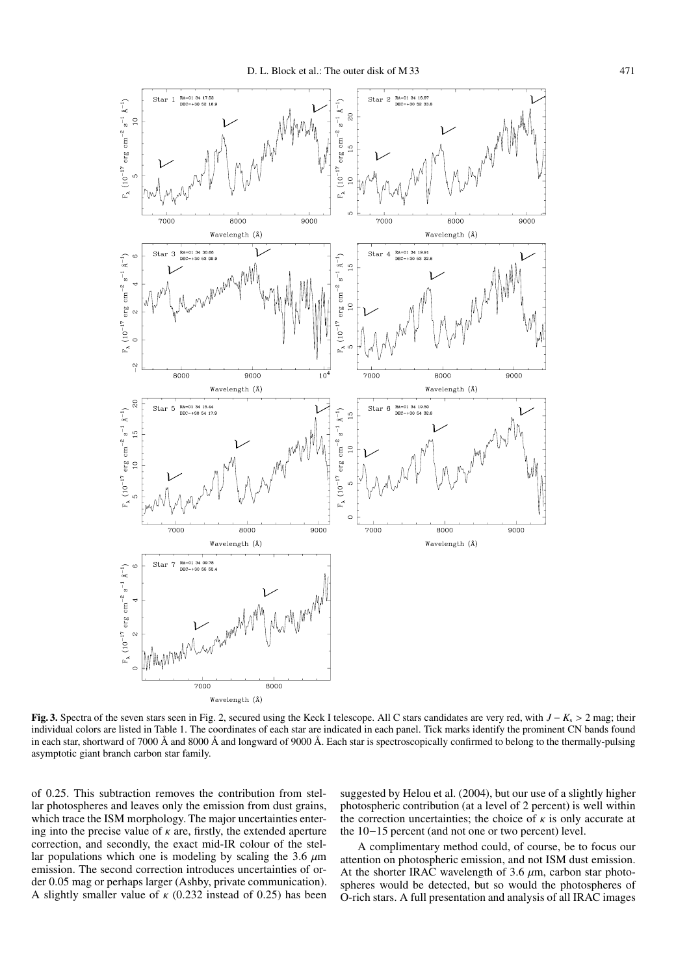

**Fig. 3.** Spectra of the seven stars seen in Fig. 2, secured using the Keck I telescope. All C stars candidates are very red, with *J* − *K*<sup>s</sup> > 2 mag; their individual colors are listed in Table 1. The coordinates of each star are indicated in each panel. Tick marks identify the prominent CN bands found in each star, shortward of 7000 Å and 8000 Å and longward of 9000 Å. Each star is spectroscopically confirmed to belong to the thermally-pulsing asymptotic giant branch carbon star family.

of 0.25. This subtraction removes the contribution from stellar photospheres and leaves only the emission from dust grains, which trace the ISM morphology. The major uncertainties entering into the precise value of  $\kappa$  are, firstly, the extended aperture correction, and secondly, the exact mid-IR colour of the stellar populations which one is modeling by scaling the 3.6  $\mu$ m emission. The second correction introduces uncertainties of order 0.05 mag or perhaps larger (Ashby, private communication). A slightly smaller value of  $\kappa$  (0.232 instead of 0.25) has been

suggested by Helou et al. (2004), but our use of a slightly higher photospheric contribution (at a level of 2 percent) is well within the correction uncertainties; the choice of  $\kappa$  is only accurate at the 10−15 percent (and not one or two percent) level.

A complimentary method could, of course, be to focus our attention on photospheric emission, and not ISM dust emission. At the shorter IRAC wavelength of 3.6  $\mu$ m, carbon star photospheres would be detected, but so would the photospheres of O-rich stars. A full presentation and analysis of all IRAC images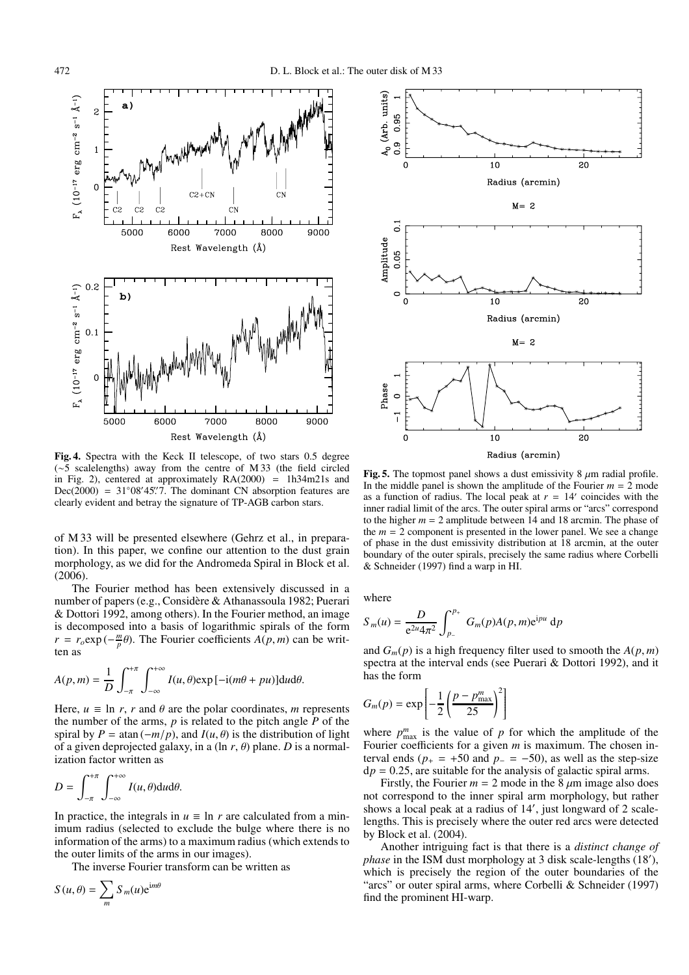

**Fig. 4.** Spectra with the Keck II telescope, of two stars 0.5 degree (∼5 scalelengths) away from the centre of M 33 (the field circled in Fig. 2), centered at approximately RA(2000) = 1h34m21s and Dec(2000) =  $31°08'45''$ . The dominant CN absorption features are clearly evident and betray the signature of TP-AGB carbon stars.

of M 33 will be presented elsewhere (Gehrz et al., in preparation). In this paper, we confine our attention to the dust grain morphology, as we did for the Andromeda Spiral in Block et al.  $(2006).$ 

The Fourier method has been extensively discussed in a number of papers (e.g., Considère & Athanassoula 1982; Puerari & Dottori 1992, among others). In the Fourier method, an image is decomposed into a basis of logarithmic spirals of the form  $r = r_o \exp(-\frac{m}{p}\theta)$ . The Fourier coefficients *A*(*p*, *m*) can be written as

$$
A(p,m) = \frac{1}{D} \int_{-\pi}^{+\pi} \int_{-\infty}^{+\infty} I(u,\theta) \exp[-i(m\theta + pu)] du d\theta.
$$

Here,  $u \equiv \ln r$ , *r* and  $\theta$  are the polar coordinates, *m* represents the number of the arms, *p* is related to the pitch angle *P* of the spiral by  $P = \tan(-m/p)$ , and  $I(u, \theta)$  is the distribution of light of a given deprojected galaxy, in a (ln  $r$ ,  $\theta$ ) plane. *D* is a normalization factor written as

$$
D=\int_{-\pi}^{+\pi}\int_{-\infty}^{+\infty}I(u,\theta)\mathrm{d}u\mathrm{d}\theta.
$$

In practice, the integrals in  $u \equiv \ln r$  are calculated from a minimum radius (selected to exclude the bulge where there is no information of the arms) to a maximum radius (which extends to the outer limits of the arms in our images).

The inverse Fourier transform can be written as

$$
S(u, \theta) = \sum_{m} S_m(u) e^{im\theta}
$$



**Fig. 5.** The topmost panel shows a dust emissivity  $8 \mu$ m radial profile. In the middle panel is shown the amplitude of the Fourier  $m = 2$  mode as a function of radius. The local peak at  $r = 14'$  coincides with the inner radial limit of the arcs. The outer spiral arms or "arcs" correspond to the higher *m* = 2 amplitude between 14 and 18 arcmin. The phase of the  $m = 2$  component is presented in the lower panel. We see a change of phase in the dust emissivity distribution at 18 arcmin, at the outer boundary of the outer spirals, precisely the same radius where Corbelli & Schneider (1997) find a warp in HI.

where

$$
S_m(u) = \frac{D}{e^{2u} 4\pi^2} \int_{p_-}^{p_+} G_m(p) A(p, m) e^{ipu} dp
$$

and  $G_m(p)$  is a high frequency filter used to smooth the  $A(p, m)$ spectra at the interval ends (see Puerari & Dottori 1992), and it has the form

$$
G_m(p) = \exp\left[-\frac{1}{2}\left(\frac{p-p_{\text{max}}^m}{25}\right)^2\right]
$$

where  $p_{\text{max}}^m$  is the value of p for which the amplitude of the Fourier coefficients for a given *m* is maximum. The chosen interval ends ( $p_{+} = +50$  and  $p_{-} = -50$ ), as well as the step-size  $dp = 0.25$ , are suitable for the analysis of galactic spiral arms.

Firstly, the Fourier  $m = 2$  mode in the 8  $\mu$ m image also does not correspond to the inner spiral arm morphology, but rather shows a local peak at a radius of 14 , just longward of 2 scalelengths. This is precisely where the outer red arcs were detected by Block et al. (2004).

Another intriguing fact is that there is a *distinct change of phase* in the ISM dust morphology at 3 disk scale-lengths (18 ), which is precisely the region of the outer boundaries of the "arcs" or outer spiral arms, where Corbelli & Schneider (1997) find the prominent HI-warp.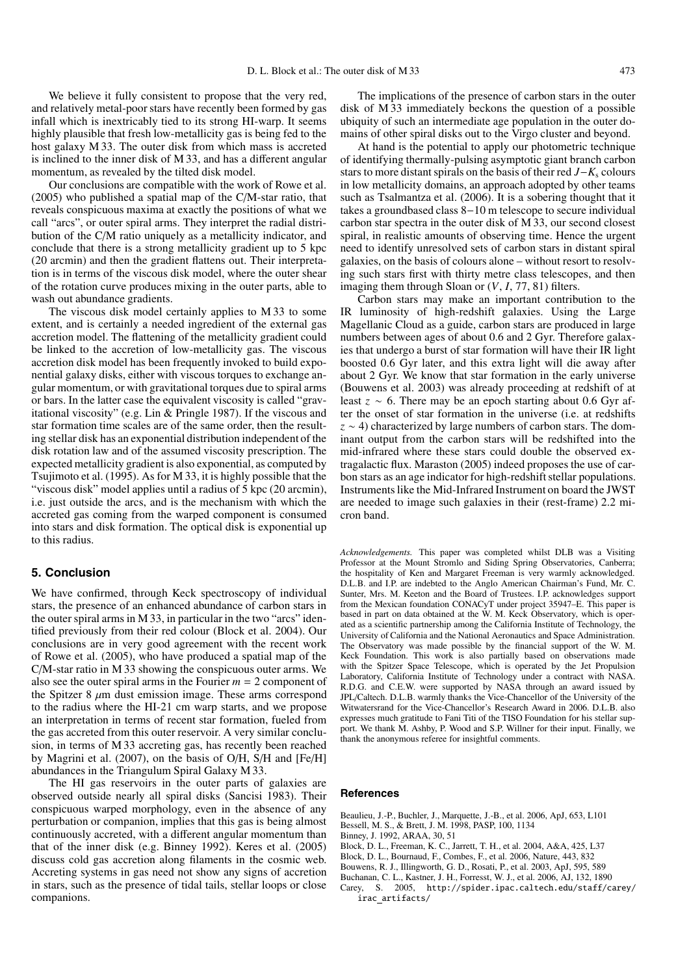We believe it fully consistent to propose that the very red, and relatively metal-poor stars have recently been formed by gas infall which is inextricably tied to its strong HI-warp. It seems highly plausible that fresh low-metallicity gas is being fed to the host galaxy M 33. The outer disk from which mass is accreted is inclined to the inner disk of M 33, and has a different angular momentum, as revealed by the tilted disk model.

Our conclusions are compatible with the work of Rowe et al. (2005) who published a spatial map of the C/M-star ratio, that reveals conspicuous maxima at exactly the positions of what we call "arcs", or outer spiral arms. They interpret the radial distribution of the C/M ratio uniquely as a metallicity indicator, and conclude that there is a strong metallicity gradient up to 5 kpc (20 arcmin) and then the gradient flattens out. Their interpretation is in terms of the viscous disk model, where the outer shear of the rotation curve produces mixing in the outer parts, able to wash out abundance gradients.

The viscous disk model certainly applies to M 33 to some extent, and is certainly a needed ingredient of the external gas accretion model. The flattening of the metallicity gradient could be linked to the accretion of low-metallicity gas. The viscous accretion disk model has been frequently invoked to build exponential galaxy disks, either with viscous torques to exchange angular momentum, or with gravitational torques due to spiral arms or bars. In the latter case the equivalent viscosity is called "gravitational viscosity" (e.g. Lin & Pringle 1987). If the viscous and star formation time scales are of the same order, then the resulting stellar disk has an exponential distribution independent of the disk rotation law and of the assumed viscosity prescription. The expected metallicity gradient is also exponential, as computed by Tsujimoto et al. (1995). As for M 33, it is highly possible that the "viscous disk" model applies until a radius of 5 kpc (20 arcmin), i.e. just outside the arcs, and is the mechanism with which the accreted gas coming from the warped component is consumed into stars and disk formation. The optical disk is exponential up to this radius.

# **5. Conclusion**

We have confirmed, through Keck spectroscopy of individual stars, the presence of an enhanced abundance of carbon stars in the outer spiral arms in M 33, in particular in the two "arcs" identified previously from their red colour (Block et al. 2004). Our conclusions are in very good agreement with the recent work of Rowe et al. (2005), who have produced a spatial map of the C/M-star ratio in M 33 showing the conspicuous outer arms. We also see the outer spiral arms in the Fourier  $m = 2$  component of the Spitzer 8  $\mu$ m dust emission image. These arms correspond to the radius where the HI-21 cm warp starts, and we propose an interpretation in terms of recent star formation, fueled from the gas accreted from this outer reservoir. A very similar conclusion, in terms of M 33 accreting gas, has recently been reached by Magrini et al. (2007), on the basis of O/H, S/H and [Fe/H] abundances in the Triangulum Spiral Galaxy M 33.

The HI gas reservoirs in the outer parts of galaxies are observed outside nearly all spiral disks (Sancisi 1983). Their conspicuous warped morphology, even in the absence of any perturbation or companion, implies that this gas is being almost continuously accreted, with a different angular momentum than that of the inner disk (e.g. Binney 1992). Keres et al. (2005) discuss cold gas accretion along filaments in the cosmic web. Accreting systems in gas need not show any signs of accretion in stars, such as the presence of tidal tails, stellar loops or close companions.

The implications of the presence of carbon stars in the outer disk of M 33 immediately beckons the question of a possible ubiquity of such an intermediate age population in the outer domains of other spiral disks out to the Virgo cluster and beyond.

At hand is the potential to apply our photometric technique of identifying thermally-pulsing asymptotic giant branch carbon stars to more distant spirals on the basis of their red *J*−*K*<sup>s</sup> colours in low metallicity domains, an approach adopted by other teams such as Tsalmantza et al. (2006). It is a sobering thought that it takes a groundbased class 8−10 m telescope to secure individual carbon star spectra in the outer disk of M 33, our second closest spiral, in realistic amounts of observing time. Hence the urgent need to identify unresolved sets of carbon stars in distant spiral galaxies, on the basis of colours alone – without resort to resolving such stars first with thirty metre class telescopes, and then imaging them through Sloan or (*V*, *I*, 77, 81) filters.

Carbon stars may make an important contribution to the IR luminosity of high-redshift galaxies. Using the Large Magellanic Cloud as a guide, carbon stars are produced in large numbers between ages of about 0.6 and 2 Gyr. Therefore galaxies that undergo a burst of star formation will have their IR light boosted 0.6 Gyr later, and this extra light will die away after about 2 Gyr. We know that star formation in the early universe (Bouwens et al. 2003) was already proceeding at redshift of at least  $z \sim 6$ . There may be an epoch starting about 0.6 Gyr after the onset of star formation in the universe (i.e. at redshifts *z* ∼ 4) characterized by large numbers of carbon stars. The dominant output from the carbon stars will be redshifted into the mid-infrared where these stars could double the observed extragalactic flux. Maraston (2005) indeed proposes the use of carbon stars as an age indicator for high-redshift stellar populations. Instruments like the Mid-Infrared Instrument on board the JWST are needed to image such galaxies in their (rest-frame) 2.2 micron band.

*Acknowledgements.* This paper was completed whilst DLB was a Visiting Professor at the Mount Stromlo and Siding Spring Observatories, Canberra; the hospitality of Ken and Margaret Freeman is very warmly acknowledged. D.L.B. and I.P. are indebted to the Anglo American Chairman's Fund, Mr. C. Sunter, Mrs. M. Keeton and the Board of Trustees. I.P. acknowledges support from the Mexican foundation CONACyT under project 35947–E. This paper is based in part on data obtained at the W. M. Keck Observatory, which is operated as a scientific partnership among the California Institute of Technology, the University of California and the National Aeronautics and Space Administration. The Observatory was made possible by the financial support of the W. M. Keck Foundation. This work is also partially based on observations made with the Spitzer Space Telescope, which is operated by the Jet Propulsion Laboratory, California Institute of Technology under a contract with NASA. R.D.G. and C.E.W. were supported by NASA through an award issued by JPL/Caltech. D.L.B. warmly thanks the Vice-Chancellor of the University of the Witwatersrand for the Vice-Chancellor's Research Award in 2006. D.L.B. also expresses much gratitude to Fani Titi of the TISO Foundation for his stellar support. We thank M. Ashby, P. Wood and S.P. Willner for their input. Finally, we thank the anonymous referee for insightful comments.

#### **References**

Beaulieu, J.-P., Buchler, J., Marquette, J.-B., et al. 2006, ApJ, 653, L101 Bessell, M. S., & Brett, J. M. 1998, PASP, 100, 1134 Binney, J. 1992, ARAA, 30, 51 Block, D. L., Freeman, K. C., Jarrett, T. H., et al. 2004, A&A, 425, L37

Block, D. L., Bournaud, F., Combes, F., et al. 2006, Nature, 443, 832

Bouwens, R. J., Illingworth, G. D., Rosati, P., et al. 2003, ApJ, 595, 589

Buchanan, C. L., Kastner, J. H., Forresst, W. J., et al. 2006, AJ, 132, 1890

Carey, S. 2005, http://spider.ipac.caltech.edu/staff/carey/ irac artifacts/